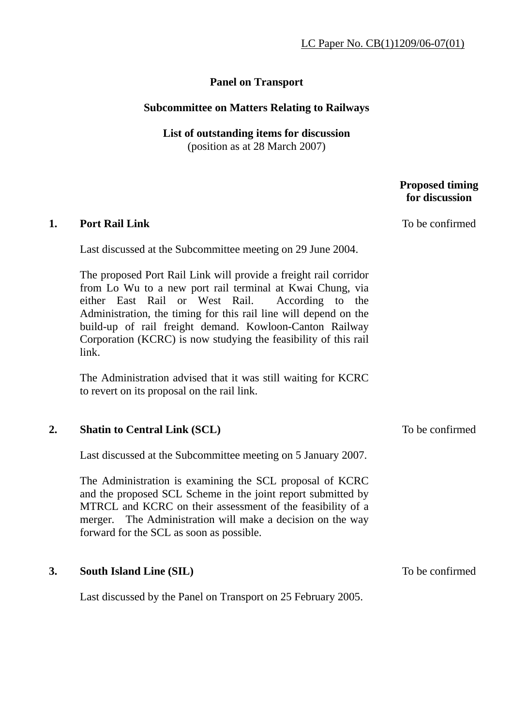## **Panel on Transport**

## **Subcommittee on Matters Relating to Railways**

## **List of outstanding items for discussion**

(position as at 28 March 2007)

## **Proposed timing for discussion 1. Port Rail Link**  Last discussed at the Subcommittee meeting on 29 June 2004. The proposed Port Rail Link will provide a freight rail corridor from Lo Wu to a new port rail terminal at Kwai Chung, via either East Rail or West Rail. According to the Administration, the timing for this rail line will depend on the build-up of rail freight demand. Kowloon-Canton Railway Corporation (KCRC) is now studying the feasibility of this rail link. The Administration advised that it was still waiting for KCRC to revert on its proposal on the rail link. To be confirmed **2. Shatin to Central Link (SCL)** Last discussed at the Subcommittee meeting on 5 January 2007. The Administration is examining the SCL proposal of KCRC and the proposed SCL Scheme in the joint report submitted by MTRCL and KCRC on their assessment of the feasibility of a merger. The Administration will make a decision on the way forward for the SCL as soon as possible. To be confirmed **3. South Island Line (SIL)**  Last discussed by the Panel on Transport on 25 February 2005. To be confirmed